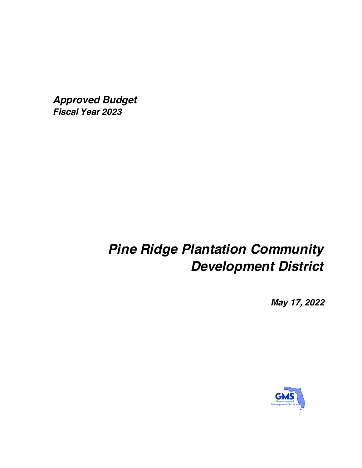*Approved Budget Fiscal Year 2023*

# *Pine Ridge Plantation Community Development District*

*May 17, 2022*

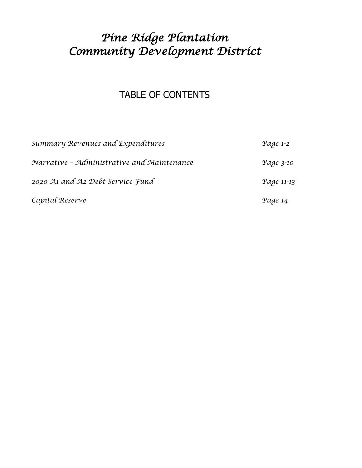# *Pine Ridge Plantation Community Development District*

### TABLE OF CONTENTS

| Summary Revenues and Expenditures          | Page 1-2   |
|--------------------------------------------|------------|
| Narrative - Administrative and Maintenance | Page 3-10  |
| 2020 At and A2 Debt Service Fund           | Page 11-13 |
| Capital Reserve                            | Page 14    |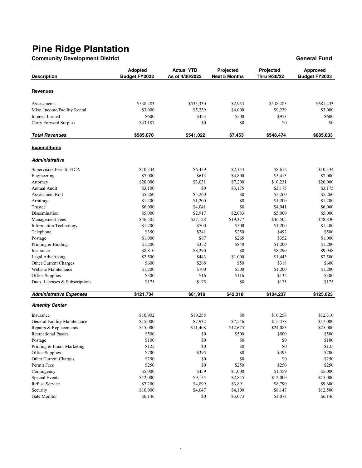**Community Development District General Fund**

| <b>Revenues</b><br>\$2,953<br>\$538,283<br>\$535,330<br>\$538,283<br>\$681,433<br>Assessments<br>Misc. Income/Facility Rental<br>\$3,000<br>\$5,239<br>\$4,000<br>\$9,239<br>\$3,000<br>\$500<br><b>Interest Earned</b><br>\$600<br>\$453<br>\$953<br>\$600<br>\$0<br>\$0<br>\$0<br>\$0<br>Carry Forward Surplus<br>\$43,187<br><b>Total Revenues</b><br>\$585,070<br>\$541,022<br>\$7,453<br>\$548,474<br>\$685,033<br><b>Expenditures</b><br><b>Administrative</b><br>\$10,334<br>\$2,153<br>\$8,612<br>\$10,334<br>Supervisors Fees & FICA<br>\$6,459<br>\$7,000<br>\$613<br>\$4,800<br>\$5,413<br>\$7,000<br>Engineering<br>\$20,000<br>\$3,031<br>\$7,200<br>\$20,000<br>Attorney<br>\$10,231<br>\$0<br>\$3,175<br>Annual Audit<br>\$3,100<br>\$3,175<br>\$3,175<br>\$5,260<br>\$5,260<br>\$0<br>\$5,260<br>\$5,260<br>Assessment Roll<br>\$0<br>\$1,200<br>Arbitrage<br>\$1,200<br>\$1,200<br>\$1,200<br>\$0<br>Trustee<br>\$6,000<br>\$4,041<br>\$4,041<br>\$6,000<br>\$2,917<br>Dissemination<br>\$5,000<br>\$2,083<br>\$5,000<br>\$5,000<br>\$27,128<br>\$19,377<br>\$48,830<br>Management Fees<br>\$46,505<br>\$46,505<br>\$700<br>\$500<br><b>Information Technology</b><br>\$1,200<br>\$1,200<br>\$1,400<br>\$350<br>\$241<br>\$250<br>\$492<br>\$500<br>Telephone<br>\$87<br>Postage<br>\$1,000<br>\$265<br>\$352<br>\$1,000<br>\$352<br>\$848<br>\$1,200<br>Printing & Binding<br>\$1,200<br>\$1,200<br>\$8,290<br>\$0<br>\$8,290<br>Insurance<br>\$8,810<br>\$9,948<br>\$443<br>\$1,000<br>Legal Advertising<br>\$2,500<br>\$1,443<br>\$2,500<br>Other Current Charges<br>\$600<br>\$268<br>\$50<br>\$318<br>\$600<br>Website Maintenance<br>\$700<br>\$500<br>\$1,200<br>\$1,200<br>\$1,200<br>\$16<br>\$116<br>\$132<br>Office Supplies<br>\$300<br>\$300<br>Dues, Licenses & Subscriptions<br>\$175<br>\$175<br>\$0<br>\$175<br>\$175<br><b>Administrative Expenses</b><br>\$121,734<br>\$61,919<br>\$42,318<br>\$104,237<br>\$125,623<br><b>Amenity Center</b><br>\$10,902<br>\$0<br>\$12,310<br>\$10,258<br>\$10,258<br>Insurance<br>General Facility Maintenance<br>\$7,932<br>\$7,546<br>\$17,000<br>\$15,000<br>\$15,478<br>\$15,000<br>\$11,408<br>\$12,675<br>\$24,083<br>\$25,000<br>Repairs & Replacements<br>\$500<br>\$500<br>\$0<br>\$500<br>\$500<br><b>Recreational Passes</b><br>$\$100$<br>$\$100$<br>Postage<br>$\$0$<br>\$0<br>\$0<br>$\$0$<br>\$0<br>\$0<br>Printing & Email Marketing<br>\$125<br>\$125<br>\$0<br>\$700<br>Office Supplies<br>\$700<br>\$395<br>\$395<br>$\$0$<br>Other Current Charges<br>\$250<br>\$0<br>\$0<br>\$250<br>\$250<br>$\$0$<br>Permit Fees<br>\$250<br>\$250<br>\$250<br>Contingency<br>\$5,000<br>\$459<br>\$1,000<br>\$1,459<br>\$5,000<br><b>Special Events</b><br>\$12,000<br>\$9,155<br>\$2,845<br>\$12,000<br>\$15,000<br>Refuse Service<br>\$7,200<br>\$4,899<br>\$3,891<br>\$8,790<br>\$9,600<br>Security<br>\$10,000<br>\$4,047<br>\$4,100<br>\$8,147<br>\$12,500 | <b>Description</b> | Adopted<br><b>Budget FY2022</b> | <b>Actual YTD</b><br>As of 4/30/2022 | Projected<br><b>Next 5 Months</b> | Projected<br>Thru 9/30/22 | Approved<br>Budget FY2023 |
|------------------------------------------------------------------------------------------------------------------------------------------------------------------------------------------------------------------------------------------------------------------------------------------------------------------------------------------------------------------------------------------------------------------------------------------------------------------------------------------------------------------------------------------------------------------------------------------------------------------------------------------------------------------------------------------------------------------------------------------------------------------------------------------------------------------------------------------------------------------------------------------------------------------------------------------------------------------------------------------------------------------------------------------------------------------------------------------------------------------------------------------------------------------------------------------------------------------------------------------------------------------------------------------------------------------------------------------------------------------------------------------------------------------------------------------------------------------------------------------------------------------------------------------------------------------------------------------------------------------------------------------------------------------------------------------------------------------------------------------------------------------------------------------------------------------------------------------------------------------------------------------------------------------------------------------------------------------------------------------------------------------------------------------------------------------------------------------------------------------------------------------------------------------------------------------------------------------------------------------------------------------------------------------------------------------------------------------------------------------------------------------------------------------------------------------------------------------------------------------------------------------------------------------------------------------------------------------------------------------------------------------------------------------------------------------------------------------------------------------------------------------------------------------------------------------------------------------------------------------------------------------------------------------------------------------------|--------------------|---------------------------------|--------------------------------------|-----------------------------------|---------------------------|---------------------------|
|                                                                                                                                                                                                                                                                                                                                                                                                                                                                                                                                                                                                                                                                                                                                                                                                                                                                                                                                                                                                                                                                                                                                                                                                                                                                                                                                                                                                                                                                                                                                                                                                                                                                                                                                                                                                                                                                                                                                                                                                                                                                                                                                                                                                                                                                                                                                                                                                                                                                                                                                                                                                                                                                                                                                                                                                                                                                                                                                                |                    |                                 |                                      |                                   |                           |                           |
|                                                                                                                                                                                                                                                                                                                                                                                                                                                                                                                                                                                                                                                                                                                                                                                                                                                                                                                                                                                                                                                                                                                                                                                                                                                                                                                                                                                                                                                                                                                                                                                                                                                                                                                                                                                                                                                                                                                                                                                                                                                                                                                                                                                                                                                                                                                                                                                                                                                                                                                                                                                                                                                                                                                                                                                                                                                                                                                                                |                    |                                 |                                      |                                   |                           |                           |
|                                                                                                                                                                                                                                                                                                                                                                                                                                                                                                                                                                                                                                                                                                                                                                                                                                                                                                                                                                                                                                                                                                                                                                                                                                                                                                                                                                                                                                                                                                                                                                                                                                                                                                                                                                                                                                                                                                                                                                                                                                                                                                                                                                                                                                                                                                                                                                                                                                                                                                                                                                                                                                                                                                                                                                                                                                                                                                                                                |                    |                                 |                                      |                                   |                           |                           |
|                                                                                                                                                                                                                                                                                                                                                                                                                                                                                                                                                                                                                                                                                                                                                                                                                                                                                                                                                                                                                                                                                                                                                                                                                                                                                                                                                                                                                                                                                                                                                                                                                                                                                                                                                                                                                                                                                                                                                                                                                                                                                                                                                                                                                                                                                                                                                                                                                                                                                                                                                                                                                                                                                                                                                                                                                                                                                                                                                |                    |                                 |                                      |                                   |                           |                           |
|                                                                                                                                                                                                                                                                                                                                                                                                                                                                                                                                                                                                                                                                                                                                                                                                                                                                                                                                                                                                                                                                                                                                                                                                                                                                                                                                                                                                                                                                                                                                                                                                                                                                                                                                                                                                                                                                                                                                                                                                                                                                                                                                                                                                                                                                                                                                                                                                                                                                                                                                                                                                                                                                                                                                                                                                                                                                                                                                                |                    |                                 |                                      |                                   |                           |                           |
|                                                                                                                                                                                                                                                                                                                                                                                                                                                                                                                                                                                                                                                                                                                                                                                                                                                                                                                                                                                                                                                                                                                                                                                                                                                                                                                                                                                                                                                                                                                                                                                                                                                                                                                                                                                                                                                                                                                                                                                                                                                                                                                                                                                                                                                                                                                                                                                                                                                                                                                                                                                                                                                                                                                                                                                                                                                                                                                                                |                    |                                 |                                      |                                   |                           |                           |
|                                                                                                                                                                                                                                                                                                                                                                                                                                                                                                                                                                                                                                                                                                                                                                                                                                                                                                                                                                                                                                                                                                                                                                                                                                                                                                                                                                                                                                                                                                                                                                                                                                                                                                                                                                                                                                                                                                                                                                                                                                                                                                                                                                                                                                                                                                                                                                                                                                                                                                                                                                                                                                                                                                                                                                                                                                                                                                                                                |                    |                                 |                                      |                                   |                           |                           |
|                                                                                                                                                                                                                                                                                                                                                                                                                                                                                                                                                                                                                                                                                                                                                                                                                                                                                                                                                                                                                                                                                                                                                                                                                                                                                                                                                                                                                                                                                                                                                                                                                                                                                                                                                                                                                                                                                                                                                                                                                                                                                                                                                                                                                                                                                                                                                                                                                                                                                                                                                                                                                                                                                                                                                                                                                                                                                                                                                |                    |                                 |                                      |                                   |                           |                           |
|                                                                                                                                                                                                                                                                                                                                                                                                                                                                                                                                                                                                                                                                                                                                                                                                                                                                                                                                                                                                                                                                                                                                                                                                                                                                                                                                                                                                                                                                                                                                                                                                                                                                                                                                                                                                                                                                                                                                                                                                                                                                                                                                                                                                                                                                                                                                                                                                                                                                                                                                                                                                                                                                                                                                                                                                                                                                                                                                                |                    |                                 |                                      |                                   |                           |                           |
|                                                                                                                                                                                                                                                                                                                                                                                                                                                                                                                                                                                                                                                                                                                                                                                                                                                                                                                                                                                                                                                                                                                                                                                                                                                                                                                                                                                                                                                                                                                                                                                                                                                                                                                                                                                                                                                                                                                                                                                                                                                                                                                                                                                                                                                                                                                                                                                                                                                                                                                                                                                                                                                                                                                                                                                                                                                                                                                                                |                    |                                 |                                      |                                   |                           |                           |
|                                                                                                                                                                                                                                                                                                                                                                                                                                                                                                                                                                                                                                                                                                                                                                                                                                                                                                                                                                                                                                                                                                                                                                                                                                                                                                                                                                                                                                                                                                                                                                                                                                                                                                                                                                                                                                                                                                                                                                                                                                                                                                                                                                                                                                                                                                                                                                                                                                                                                                                                                                                                                                                                                                                                                                                                                                                                                                                                                |                    |                                 |                                      |                                   |                           |                           |
|                                                                                                                                                                                                                                                                                                                                                                                                                                                                                                                                                                                                                                                                                                                                                                                                                                                                                                                                                                                                                                                                                                                                                                                                                                                                                                                                                                                                                                                                                                                                                                                                                                                                                                                                                                                                                                                                                                                                                                                                                                                                                                                                                                                                                                                                                                                                                                                                                                                                                                                                                                                                                                                                                                                                                                                                                                                                                                                                                |                    |                                 |                                      |                                   |                           |                           |
|                                                                                                                                                                                                                                                                                                                                                                                                                                                                                                                                                                                                                                                                                                                                                                                                                                                                                                                                                                                                                                                                                                                                                                                                                                                                                                                                                                                                                                                                                                                                                                                                                                                                                                                                                                                                                                                                                                                                                                                                                                                                                                                                                                                                                                                                                                                                                                                                                                                                                                                                                                                                                                                                                                                                                                                                                                                                                                                                                |                    |                                 |                                      |                                   |                           |                           |
|                                                                                                                                                                                                                                                                                                                                                                                                                                                                                                                                                                                                                                                                                                                                                                                                                                                                                                                                                                                                                                                                                                                                                                                                                                                                                                                                                                                                                                                                                                                                                                                                                                                                                                                                                                                                                                                                                                                                                                                                                                                                                                                                                                                                                                                                                                                                                                                                                                                                                                                                                                                                                                                                                                                                                                                                                                                                                                                                                |                    |                                 |                                      |                                   |                           |                           |
|                                                                                                                                                                                                                                                                                                                                                                                                                                                                                                                                                                                                                                                                                                                                                                                                                                                                                                                                                                                                                                                                                                                                                                                                                                                                                                                                                                                                                                                                                                                                                                                                                                                                                                                                                                                                                                                                                                                                                                                                                                                                                                                                                                                                                                                                                                                                                                                                                                                                                                                                                                                                                                                                                                                                                                                                                                                                                                                                                |                    |                                 |                                      |                                   |                           |                           |
|                                                                                                                                                                                                                                                                                                                                                                                                                                                                                                                                                                                                                                                                                                                                                                                                                                                                                                                                                                                                                                                                                                                                                                                                                                                                                                                                                                                                                                                                                                                                                                                                                                                                                                                                                                                                                                                                                                                                                                                                                                                                                                                                                                                                                                                                                                                                                                                                                                                                                                                                                                                                                                                                                                                                                                                                                                                                                                                                                |                    |                                 |                                      |                                   |                           |                           |
|                                                                                                                                                                                                                                                                                                                                                                                                                                                                                                                                                                                                                                                                                                                                                                                                                                                                                                                                                                                                                                                                                                                                                                                                                                                                                                                                                                                                                                                                                                                                                                                                                                                                                                                                                                                                                                                                                                                                                                                                                                                                                                                                                                                                                                                                                                                                                                                                                                                                                                                                                                                                                                                                                                                                                                                                                                                                                                                                                |                    |                                 |                                      |                                   |                           |                           |
|                                                                                                                                                                                                                                                                                                                                                                                                                                                                                                                                                                                                                                                                                                                                                                                                                                                                                                                                                                                                                                                                                                                                                                                                                                                                                                                                                                                                                                                                                                                                                                                                                                                                                                                                                                                                                                                                                                                                                                                                                                                                                                                                                                                                                                                                                                                                                                                                                                                                                                                                                                                                                                                                                                                                                                                                                                                                                                                                                |                    |                                 |                                      |                                   |                           |                           |
|                                                                                                                                                                                                                                                                                                                                                                                                                                                                                                                                                                                                                                                                                                                                                                                                                                                                                                                                                                                                                                                                                                                                                                                                                                                                                                                                                                                                                                                                                                                                                                                                                                                                                                                                                                                                                                                                                                                                                                                                                                                                                                                                                                                                                                                                                                                                                                                                                                                                                                                                                                                                                                                                                                                                                                                                                                                                                                                                                |                    |                                 |                                      |                                   |                           |                           |
|                                                                                                                                                                                                                                                                                                                                                                                                                                                                                                                                                                                                                                                                                                                                                                                                                                                                                                                                                                                                                                                                                                                                                                                                                                                                                                                                                                                                                                                                                                                                                                                                                                                                                                                                                                                                                                                                                                                                                                                                                                                                                                                                                                                                                                                                                                                                                                                                                                                                                                                                                                                                                                                                                                                                                                                                                                                                                                                                                |                    |                                 |                                      |                                   |                           |                           |
|                                                                                                                                                                                                                                                                                                                                                                                                                                                                                                                                                                                                                                                                                                                                                                                                                                                                                                                                                                                                                                                                                                                                                                                                                                                                                                                                                                                                                                                                                                                                                                                                                                                                                                                                                                                                                                                                                                                                                                                                                                                                                                                                                                                                                                                                                                                                                                                                                                                                                                                                                                                                                                                                                                                                                                                                                                                                                                                                                |                    |                                 |                                      |                                   |                           |                           |
|                                                                                                                                                                                                                                                                                                                                                                                                                                                                                                                                                                                                                                                                                                                                                                                                                                                                                                                                                                                                                                                                                                                                                                                                                                                                                                                                                                                                                                                                                                                                                                                                                                                                                                                                                                                                                                                                                                                                                                                                                                                                                                                                                                                                                                                                                                                                                                                                                                                                                                                                                                                                                                                                                                                                                                                                                                                                                                                                                |                    |                                 |                                      |                                   |                           |                           |
|                                                                                                                                                                                                                                                                                                                                                                                                                                                                                                                                                                                                                                                                                                                                                                                                                                                                                                                                                                                                                                                                                                                                                                                                                                                                                                                                                                                                                                                                                                                                                                                                                                                                                                                                                                                                                                                                                                                                                                                                                                                                                                                                                                                                                                                                                                                                                                                                                                                                                                                                                                                                                                                                                                                                                                                                                                                                                                                                                |                    |                                 |                                      |                                   |                           |                           |
|                                                                                                                                                                                                                                                                                                                                                                                                                                                                                                                                                                                                                                                                                                                                                                                                                                                                                                                                                                                                                                                                                                                                                                                                                                                                                                                                                                                                                                                                                                                                                                                                                                                                                                                                                                                                                                                                                                                                                                                                                                                                                                                                                                                                                                                                                                                                                                                                                                                                                                                                                                                                                                                                                                                                                                                                                                                                                                                                                |                    |                                 |                                      |                                   |                           |                           |
|                                                                                                                                                                                                                                                                                                                                                                                                                                                                                                                                                                                                                                                                                                                                                                                                                                                                                                                                                                                                                                                                                                                                                                                                                                                                                                                                                                                                                                                                                                                                                                                                                                                                                                                                                                                                                                                                                                                                                                                                                                                                                                                                                                                                                                                                                                                                                                                                                                                                                                                                                                                                                                                                                                                                                                                                                                                                                                                                                |                    |                                 |                                      |                                   |                           |                           |
|                                                                                                                                                                                                                                                                                                                                                                                                                                                                                                                                                                                                                                                                                                                                                                                                                                                                                                                                                                                                                                                                                                                                                                                                                                                                                                                                                                                                                                                                                                                                                                                                                                                                                                                                                                                                                                                                                                                                                                                                                                                                                                                                                                                                                                                                                                                                                                                                                                                                                                                                                                                                                                                                                                                                                                                                                                                                                                                                                |                    |                                 |                                      |                                   |                           |                           |
|                                                                                                                                                                                                                                                                                                                                                                                                                                                                                                                                                                                                                                                                                                                                                                                                                                                                                                                                                                                                                                                                                                                                                                                                                                                                                                                                                                                                                                                                                                                                                                                                                                                                                                                                                                                                                                                                                                                                                                                                                                                                                                                                                                                                                                                                                                                                                                                                                                                                                                                                                                                                                                                                                                                                                                                                                                                                                                                                                |                    |                                 |                                      |                                   |                           |                           |
|                                                                                                                                                                                                                                                                                                                                                                                                                                                                                                                                                                                                                                                                                                                                                                                                                                                                                                                                                                                                                                                                                                                                                                                                                                                                                                                                                                                                                                                                                                                                                                                                                                                                                                                                                                                                                                                                                                                                                                                                                                                                                                                                                                                                                                                                                                                                                                                                                                                                                                                                                                                                                                                                                                                                                                                                                                                                                                                                                |                    |                                 |                                      |                                   |                           |                           |
|                                                                                                                                                                                                                                                                                                                                                                                                                                                                                                                                                                                                                                                                                                                                                                                                                                                                                                                                                                                                                                                                                                                                                                                                                                                                                                                                                                                                                                                                                                                                                                                                                                                                                                                                                                                                                                                                                                                                                                                                                                                                                                                                                                                                                                                                                                                                                                                                                                                                                                                                                                                                                                                                                                                                                                                                                                                                                                                                                |                    |                                 |                                      |                                   |                           |                           |
|                                                                                                                                                                                                                                                                                                                                                                                                                                                                                                                                                                                                                                                                                                                                                                                                                                                                                                                                                                                                                                                                                                                                                                                                                                                                                                                                                                                                                                                                                                                                                                                                                                                                                                                                                                                                                                                                                                                                                                                                                                                                                                                                                                                                                                                                                                                                                                                                                                                                                                                                                                                                                                                                                                                                                                                                                                                                                                                                                |                    |                                 |                                      |                                   |                           |                           |
|                                                                                                                                                                                                                                                                                                                                                                                                                                                                                                                                                                                                                                                                                                                                                                                                                                                                                                                                                                                                                                                                                                                                                                                                                                                                                                                                                                                                                                                                                                                                                                                                                                                                                                                                                                                                                                                                                                                                                                                                                                                                                                                                                                                                                                                                                                                                                                                                                                                                                                                                                                                                                                                                                                                                                                                                                                                                                                                                                |                    |                                 |                                      |                                   |                           |                           |
|                                                                                                                                                                                                                                                                                                                                                                                                                                                                                                                                                                                                                                                                                                                                                                                                                                                                                                                                                                                                                                                                                                                                                                                                                                                                                                                                                                                                                                                                                                                                                                                                                                                                                                                                                                                                                                                                                                                                                                                                                                                                                                                                                                                                                                                                                                                                                                                                                                                                                                                                                                                                                                                                                                                                                                                                                                                                                                                                                |                    |                                 |                                      |                                   |                           |                           |
|                                                                                                                                                                                                                                                                                                                                                                                                                                                                                                                                                                                                                                                                                                                                                                                                                                                                                                                                                                                                                                                                                                                                                                                                                                                                                                                                                                                                                                                                                                                                                                                                                                                                                                                                                                                                                                                                                                                                                                                                                                                                                                                                                                                                                                                                                                                                                                                                                                                                                                                                                                                                                                                                                                                                                                                                                                                                                                                                                |                    |                                 |                                      |                                   |                           |                           |
|                                                                                                                                                                                                                                                                                                                                                                                                                                                                                                                                                                                                                                                                                                                                                                                                                                                                                                                                                                                                                                                                                                                                                                                                                                                                                                                                                                                                                                                                                                                                                                                                                                                                                                                                                                                                                                                                                                                                                                                                                                                                                                                                                                                                                                                                                                                                                                                                                                                                                                                                                                                                                                                                                                                                                                                                                                                                                                                                                |                    |                                 |                                      |                                   |                           |                           |
|                                                                                                                                                                                                                                                                                                                                                                                                                                                                                                                                                                                                                                                                                                                                                                                                                                                                                                                                                                                                                                                                                                                                                                                                                                                                                                                                                                                                                                                                                                                                                                                                                                                                                                                                                                                                                                                                                                                                                                                                                                                                                                                                                                                                                                                                                                                                                                                                                                                                                                                                                                                                                                                                                                                                                                                                                                                                                                                                                |                    |                                 |                                      |                                   |                           |                           |
|                                                                                                                                                                                                                                                                                                                                                                                                                                                                                                                                                                                                                                                                                                                                                                                                                                                                                                                                                                                                                                                                                                                                                                                                                                                                                                                                                                                                                                                                                                                                                                                                                                                                                                                                                                                                                                                                                                                                                                                                                                                                                                                                                                                                                                                                                                                                                                                                                                                                                                                                                                                                                                                                                                                                                                                                                                                                                                                                                |                    |                                 |                                      |                                   |                           |                           |
|                                                                                                                                                                                                                                                                                                                                                                                                                                                                                                                                                                                                                                                                                                                                                                                                                                                                                                                                                                                                                                                                                                                                                                                                                                                                                                                                                                                                                                                                                                                                                                                                                                                                                                                                                                                                                                                                                                                                                                                                                                                                                                                                                                                                                                                                                                                                                                                                                                                                                                                                                                                                                                                                                                                                                                                                                                                                                                                                                |                    |                                 |                                      |                                   |                           |                           |
|                                                                                                                                                                                                                                                                                                                                                                                                                                                                                                                                                                                                                                                                                                                                                                                                                                                                                                                                                                                                                                                                                                                                                                                                                                                                                                                                                                                                                                                                                                                                                                                                                                                                                                                                                                                                                                                                                                                                                                                                                                                                                                                                                                                                                                                                                                                                                                                                                                                                                                                                                                                                                                                                                                                                                                                                                                                                                                                                                |                    |                                 |                                      |                                   |                           |                           |
|                                                                                                                                                                                                                                                                                                                                                                                                                                                                                                                                                                                                                                                                                                                                                                                                                                                                                                                                                                                                                                                                                                                                                                                                                                                                                                                                                                                                                                                                                                                                                                                                                                                                                                                                                                                                                                                                                                                                                                                                                                                                                                                                                                                                                                                                                                                                                                                                                                                                                                                                                                                                                                                                                                                                                                                                                                                                                                                                                |                    |                                 |                                      |                                   |                           |                           |
|                                                                                                                                                                                                                                                                                                                                                                                                                                                                                                                                                                                                                                                                                                                                                                                                                                                                                                                                                                                                                                                                                                                                                                                                                                                                                                                                                                                                                                                                                                                                                                                                                                                                                                                                                                                                                                                                                                                                                                                                                                                                                                                                                                                                                                                                                                                                                                                                                                                                                                                                                                                                                                                                                                                                                                                                                                                                                                                                                |                    |                                 |                                      |                                   |                           |                           |
|                                                                                                                                                                                                                                                                                                                                                                                                                                                                                                                                                                                                                                                                                                                                                                                                                                                                                                                                                                                                                                                                                                                                                                                                                                                                                                                                                                                                                                                                                                                                                                                                                                                                                                                                                                                                                                                                                                                                                                                                                                                                                                                                                                                                                                                                                                                                                                                                                                                                                                                                                                                                                                                                                                                                                                                                                                                                                                                                                |                    |                                 |                                      |                                   |                           |                           |
|                                                                                                                                                                                                                                                                                                                                                                                                                                                                                                                                                                                                                                                                                                                                                                                                                                                                                                                                                                                                                                                                                                                                                                                                                                                                                                                                                                                                                                                                                                                                                                                                                                                                                                                                                                                                                                                                                                                                                                                                                                                                                                                                                                                                                                                                                                                                                                                                                                                                                                                                                                                                                                                                                                                                                                                                                                                                                                                                                |                    |                                 |                                      |                                   |                           |                           |
|                                                                                                                                                                                                                                                                                                                                                                                                                                                                                                                                                                                                                                                                                                                                                                                                                                                                                                                                                                                                                                                                                                                                                                                                                                                                                                                                                                                                                                                                                                                                                                                                                                                                                                                                                                                                                                                                                                                                                                                                                                                                                                                                                                                                                                                                                                                                                                                                                                                                                                                                                                                                                                                                                                                                                                                                                                                                                                                                                |                    |                                 |                                      |                                   |                           |                           |
|                                                                                                                                                                                                                                                                                                                                                                                                                                                                                                                                                                                                                                                                                                                                                                                                                                                                                                                                                                                                                                                                                                                                                                                                                                                                                                                                                                                                                                                                                                                                                                                                                                                                                                                                                                                                                                                                                                                                                                                                                                                                                                                                                                                                                                                                                                                                                                                                                                                                                                                                                                                                                                                                                                                                                                                                                                                                                                                                                |                    |                                 |                                      |                                   |                           |                           |
|                                                                                                                                                                                                                                                                                                                                                                                                                                                                                                                                                                                                                                                                                                                                                                                                                                                                                                                                                                                                                                                                                                                                                                                                                                                                                                                                                                                                                                                                                                                                                                                                                                                                                                                                                                                                                                                                                                                                                                                                                                                                                                                                                                                                                                                                                                                                                                                                                                                                                                                                                                                                                                                                                                                                                                                                                                                                                                                                                | Gate Monitor       | \$6,146                         | \$0                                  | \$3,073                           | \$3,073                   | \$6,146                   |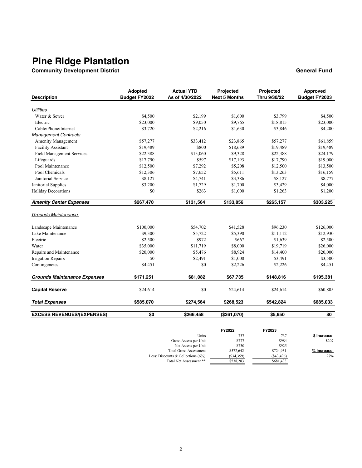**Community Development District General Fund**

|                                     | Adopted              | <b>Actual YTD</b> | Projected            | Projected    | Approved      |
|-------------------------------------|----------------------|-------------------|----------------------|--------------|---------------|
| <b>Description</b>                  | <b>Budget FY2022</b> | As of 4/30/2022   | <b>Next 5 Months</b> | Thru 9/30/22 | Budget FY2023 |
| <b>Utilities</b>                    |                      |                   |                      |              |               |
| Water & Sewer                       | \$4,500              | \$2,199           | \$1,600              | \$3,799      | \$4,500       |
| Electric                            | \$23,000             | \$9,050           | \$9,765              | \$18,815     | \$23,000      |
| Cable/Phone/Internet                | \$3,720              | \$2,216           | \$1,630              | \$3,846      | \$4,200       |
| <b>Management Contracts</b>         |                      |                   |                      |              |               |
| <b>Amenity Management</b>           | \$57,277             | \$33,412          | \$23,865             | \$57,277     | \$61,859      |
| <b>Facility Assistant</b>           | \$19,489             | \$800             | \$18,689             | \$19,489     | \$19,489      |
| <b>Field Management Services</b>    | \$22,388             | \$13,060          | \$9,328              | \$22,388     | \$24,179      |
| Lifeguards                          | \$17,790             | \$597             | \$17,193             | \$17,790     | \$19,080      |
| Pool Maintenance                    | \$12,500             | \$7,292           | \$5,208              | \$12,500     | \$13,500      |
| Pool Chemicals                      | \$12,306             | \$7,652           | \$5,611              | \$13,263     | \$16,159      |
| Janitorial Service                  | \$8,127              | \$4,741           | \$3,386              | \$8,127      | \$8,777       |
| Janitorial Supplies                 | \$3,200              | \$1,729           | \$1,700              | \$3,429      | \$4,000       |
| <b>Holiday Decorations</b>          | \$0                  | \$263             | \$1,000              | \$1,263      | \$1,200       |
| <b>Amenity Center Expenses</b>      | \$267,470            | \$131,564         | \$133,856            | \$265,157    | \$303,225     |
| Grounds Maintenance                 |                      |                   |                      |              |               |
| Landscape Maintenance               | \$100,000            | \$54,702          | \$41,528             | \$96,230     | \$126,000     |
| Lake Maintenance                    | \$9,300              | \$5,722           | \$5,390              | \$11,112     | \$12,930      |
| Electric                            | \$2,500              | \$972             | \$667                | \$1,639      | \$2,500       |
| Water                               | \$35,000             | \$11,719          | \$8,000              | \$19,719     | \$26,000      |
| Repairs and Maintenance             | \$20,000             | \$5,476           | \$8,924              | \$14,400     | \$20,000      |
| <b>Irrigation Repairs</b>           | \$0                  | \$2,491           | \$1,000              | \$3,491      | \$3,500       |
| Contingencies                       | \$4,451              | \$0               | \$2,226              | \$2,226      | \$4,451       |
| <b>Grounds Maintenance Expenses</b> | \$171,251            | \$81,082          | \$67,735             | \$148,816    | \$195,381     |
| <b>Capital Reserve</b>              | \$24,614             | \$0               | \$24,614             | \$24,614     | \$60,805      |
|                                     |                      |                   |                      |              |               |
| <b>Total Expenses</b>               | \$585,070            | \$274,564         | \$268,523            | \$542,824    | \$685,033     |
| <b>EXCESS REVENUES/(EXPENSES)</b>   | \$0                  | \$266,458         | (\$261,070)          | \$5,650      | \$0           |

| <b>FY2022</b> | FY2023     |             |
|---------------|------------|-------------|
| 737           | 737        | \$ Increase |
| \$777         | \$984      | \$207       |
| \$730         | \$925      |             |
| \$572,642     | \$724,931  | % Increase  |
| (S34, 359)    | (S43, 496) | 27%         |
| \$538,283     | \$681,433  |             |
|               |            |             |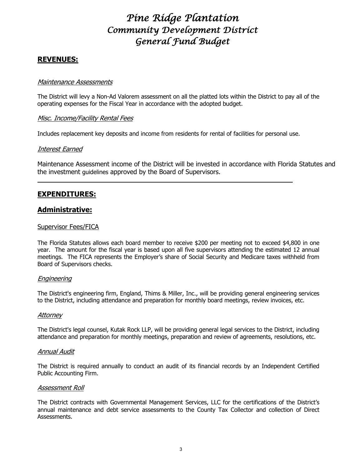#### **REVENUES:**

#### Maintenance Assessments

The District will levy a Non-Ad Valorem assessment on all the platted lots within the District to pay all of the operating expenses for the Fiscal Year in accordance with the adopted budget.

#### Misc. Income/Facility Rental Fees

Includes replacement key deposits and income from residents for rental of facilities for personal use.

#### Interest Earned

Maintenance Assessment income of the District will be invested in accordance with Florida Statutes and the investment guidelines approved by the Board of Supervisors.

### **EXPENDITURES:**

#### **Administrative:**

#### Supervisor Fees/FICA

The Florida Statutes allows each board member to receive \$200 per meeting not to exceed \$4,800 in one year. The amount for the fiscal year is based upon all five supervisors attending the estimated 12 annual meetings. The FICA represents the Employer's share of Social Security and Medicare taxes withheld from Board of Supervisors checks.

#### Engineering

The District's engineering firm, England, Thims & Miller, Inc., will be providing general engineering services to the District, including attendance and preparation for monthly board meetings, review invoices, etc.

#### **Attorney**

The District's legal counsel, Kutak Rock LLP, will be providing general legal services to the District, including attendance and preparation for monthly meetings, preparation and review of agreements, resolutions, etc.

#### Annual Audit

The District is required annually to conduct an audit of its financial records by an Independent Certified Public Accounting Firm.

#### Assessment Roll

The District contracts with Governmental Management Services, LLC for the certifications of the District's annual maintenance and debt service assessments to the County Tax Collector and collection of Direct Assessments.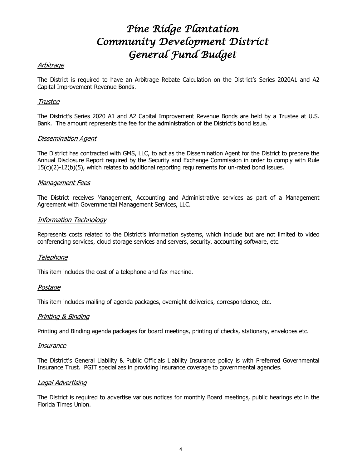#### Arbitrage

The District is required to have an Arbitrage Rebate Calculation on the District's Series 2020A1 and A2 Capital Improvement Revenue Bonds.

#### Trustee

The District's Series 2020 A1 and A2 Capital Improvement Revenue Bonds are held by a Trustee at U.S. Bank. The amount represents the fee for the administration of the District's bond issue.

#### Dissemination Agent

The District has contracted with GMS, LLC, to act as the Dissemination Agent for the District to prepare the Annual Disclosure Report required by the Security and Exchange Commission in order to comply with Rule 15(c)(2)-12(b)(5), which relates to additional reporting requirements for un-rated bond issues.

#### Management Fees

The District receives Management, Accounting and Administrative services as part of a Management Agreement with Governmental Management Services, LLC.

#### Information Technology

Represents costs related to the District's information systems, which include but are not limited to video conferencing services, cloud storage services and servers, security, accounting software, etc.

#### Telephone

This item includes the cost of a telephone and fax machine.

#### Postage

This item includes mailing of agenda packages, overnight deliveries, correspondence, etc.

#### Printing & Binding

Printing and Binding agenda packages for board meetings, printing of checks, stationary, envelopes etc.

#### Insurance

The District's General Liability & Public Officials Liability Insurance policy is with Preferred Governmental Insurance Trust. PGIT specializes in providing insurance coverage to governmental agencies.

#### Legal Advertising

The District is required to advertise various notices for monthly Board meetings, public hearings etc in the Florida Times Union.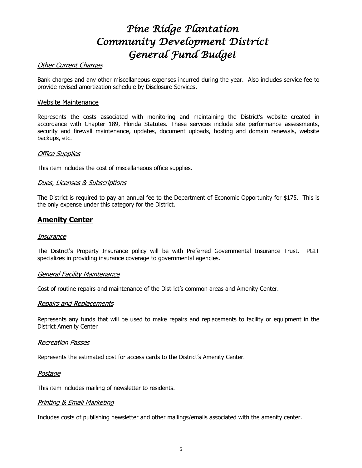#### Other Current Charges

Bank charges and any other miscellaneous expenses incurred during the year. Also includes service fee to provide revised amortization schedule by Disclosure Services.

#### Website Maintenance

Represents the costs associated with monitoring and maintaining the District's website created in accordance with Chapter 189, Florida Statutes. These services include site performance assessments, security and firewall maintenance, updates, document uploads, hosting and domain renewals, website backups, etc.

#### Office Supplies

This item includes the cost of miscellaneous office supplies.

#### Dues, Licenses & Subscriptions

The District is required to pay an annual fee to the Department of Economic Opportunity for \$175. This is the only expense under this category for the District.

#### **Amenity Center**

#### **Insurance**

The District's Property Insurance policy will be with Preferred Governmental Insurance Trust. PGIT specializes in providing insurance coverage to governmental agencies.

#### General Facility Maintenance

Cost of routine repairs and maintenance of the District's common areas and Amenity Center.

#### Repairs and Replacements

Represents any funds that will be used to make repairs and replacements to facility or equipment in the District Amenity Center

#### Recreation Passes

Represents the estimated cost for access cards to the District's Amenity Center.

#### Postage

This item includes mailing of newsletter to residents.

#### Printing & Email Marketing

Includes costs of publishing newsletter and other mailings/emails associated with the amenity center.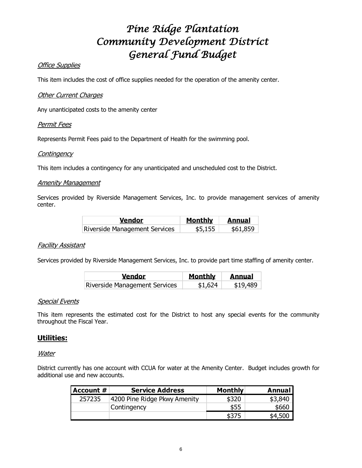#### **Office Supplies**

This item includes the cost of office supplies needed for the operation of the amenity center.

#### Other Current Charges

Any unanticipated costs to the amenity center

#### Permit Fees

Represents Permit Fees paid to the Department of Health for the swimming pool.

#### **Contingency**

This item includes a contingency for any unanticipated and unscheduled cost to the District.

#### **Amenity Management**

Services provided by Riverside Management Services, Inc. to provide management services of amenity center.

| Vendor                               | Monthly | <b>Annual</b> |
|--------------------------------------|---------|---------------|
| <b>Riverside Management Services</b> | \$5,155 | \$61,859      |

#### Facility Assistant

Services provided by Riverside Management Services, Inc. to provide part time staffing of amenity center.

| <b>Vendor</b>                 | <b>Monthly</b> | <b>Annual</b> |
|-------------------------------|----------------|---------------|
| Riverside Management Services | \$1,624        | \$19,489      |

#### Special Events

This item represents the estimated cost for the District to host any special events for the community throughout the Fiscal Year.

#### **Utilities:**

#### Water

District currently has one account with CCUA for water at the Amenity Center. Budget includes growth for additional use and new accounts.

| Account # | <b>Service Address</b>       | <b>Monthly</b> | Annual  |
|-----------|------------------------------|----------------|---------|
| 257235    | 4200 Pine Ridge Pkwy Amenity | \$320          | \$3,840 |
|           | Contingency                  | \$55           | \$660   |
|           |                              | \$375          | \$4.500 |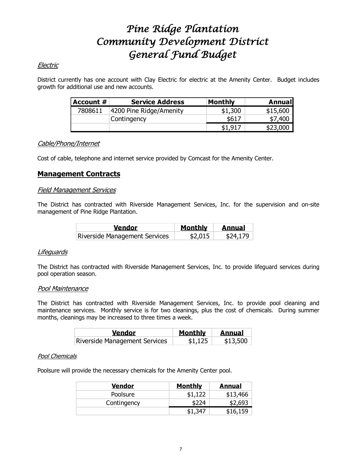#### Electric

District currently has one account with Clay Electric for electric at the Amenity Center. Budget includes growth for additional use and new accounts.

| Account $\#$ | <b>Service Address</b>  | <b>Monthly</b> | Annual   |
|--------------|-------------------------|----------------|----------|
| 7808611      | 4200 Pine Ridge/Amenity | \$1,300        | \$15,600 |
|              | Contingency             | \$617          | \$7,400  |
|              |                         | \$1,917        | \$23,000 |

#### Cable/Phone/Internet

Cost of cable, telephone and internet service provided by Comcast for the Amenity Center.

### **Management Contracts**

#### Field Management Services

The District has contracted with Riverside Management Services, Inc. for the supervision and on-site management of Pine Ridge Plantation.

| <b>Vendor</b>                 | Monthly | <b>Annual</b> |
|-------------------------------|---------|---------------|
| Riverside Management Services | \$2,015 | \$24,179      |

#### **Lifeguards**

The District has contracted with Riverside Management Services, Inc. to provide lifeguard services during pool operation season.

#### Pool Maintenance

The District has contracted with Riverside Management Services, Inc. to provide pool cleaning and maintenance services. Monthly service is for two cleanings, plus the cost of chemicals. During summer months, cleanings may be increased to three times a week.

| <b>Vendor</b>                 | Monthly | <b>Annual</b><br>- 1 |
|-------------------------------|---------|----------------------|
| Riverside Management Services | \$1,125 | \$13,500             |

#### Pool Chemicals

Poolsure will provide the necessary chemicals for the Amenity Center pool.

| Vendor      | <b>Monthly</b> | <b>Annual</b> |
|-------------|----------------|---------------|
| Poolsure    | \$1,122        | \$13,466      |
| Contingency |                | \$2,693       |
|             | \$1,347        | \$16,159      |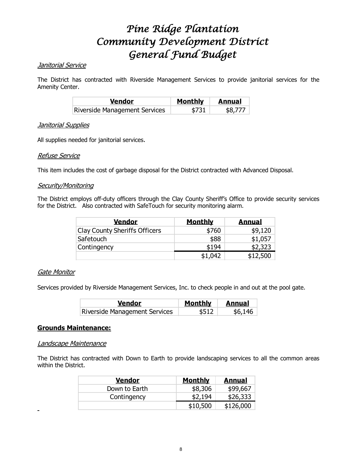#### Janitorial Service

The District has contracted with Riverside Management Services to provide janitorial services for the Amenity Center.

| <b>Vendor</b>                 | Monthly   Annual |         |
|-------------------------------|------------------|---------|
| Riverside Management Services | \$731            | \$8,777 |

#### **Janitorial Supplies**

All supplies needed for janitorial services.

#### Refuse Service

This item includes the cost of garbage disposal for the District contracted with Advanced Disposal.

#### Security/Monitoring

The District employs off-duty officers through the Clay County Sheriff's Office to provide security services for the District. Also contracted with SafeTouch for security monitoring alarm.

| <u>Vendor</u>                        | <b>Monthly</b> | <b>Annual</b> |
|--------------------------------------|----------------|---------------|
| <b>Clay County Sheriffs Officers</b> | \$760          | \$9,120       |
| Safetouch                            | \$88           | \$1,057       |
| Contingency                          | \$194          | \$2,323       |
|                                      | \$1,042        | :12,500       |

#### Gate Monitor

Services provided by Riverside Management Services, Inc. to check people in and out at the pool gate.

| <b>Vendor</b>                 | Monthly   Annual |         |
|-------------------------------|------------------|---------|
| Riverside Management Services | \$512            | \$6,146 |

#### **Grounds Maintenance:**

#### Landscape Maintenance

The District has contracted with Down to Earth to provide landscaping services to all the common areas within the District.

| <b>Vendor</b> | <b>Monthly</b> | <b>Annual</b> |
|---------------|----------------|---------------|
| Down to Earth | \$8,306        | \$99,667      |
| Contingency   | \$2,194        | \$26,333      |
|               | \$10,500       | \$126,000     |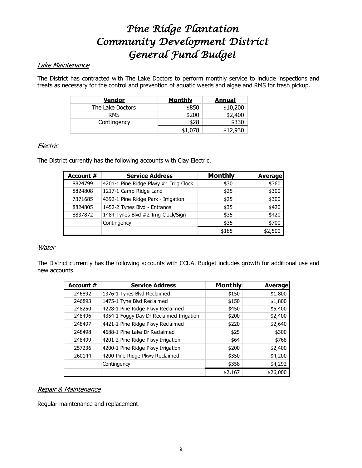#### Lake Maintenance

The District has contracted with The Lake Doctors to perform monthly service to include inspections and treats as necessary for the control and prevention of aquatic weeds and algae and RMS for trash pickup.

| <u>Vendor</u>    | <u>Monthly</u> | <b>Annual</b> |
|------------------|----------------|---------------|
| The Lake Doctors | \$850          | \$10,200      |
| <b>RMS</b>       | \$200          | \$2,400       |
| Contingency      | \$28           |               |
|                  | \$1,078        |               |

#### **Electric**

The District currently has the following accounts with Clay Electric.

| Account # | <b>Service Address</b>                | <b>Monthly</b> | <b>Average</b> |
|-----------|---------------------------------------|----------------|----------------|
| 8824799   | 4201-1 Pine Ridge Pkwy #1 Irrig Clock | \$30           | \$360          |
| 8824808   | 1217-1 Camp Ridge Land                | \$25           | \$300          |
| 7371685   | 4392-1 Pine Ridge Park - Irrigation   | \$25           | \$300          |
| 8824805   | 1452-2 Tynes Blvd - Entrance          | \$35           | \$420          |
| 8837872   | 1484 Tynes Blvd #2 Irrig Clock/Sign   | \$35           | \$420          |
|           | Contingency                           | \$35           | \$700          |
|           |                                       | \$185          | \$2,500        |

#### **Water**

The District currently has the following accounts with CCUA. Budget includes growth for additional use and new accounts.

| Account # | <b>Service Address</b>                   | <b>Monthly</b> | <b>Average</b> |
|-----------|------------------------------------------|----------------|----------------|
| 246892    | 1376-1 Tynes Blvd Reclaimed              | \$150          | \$1,800        |
| 246893    | 1475-1 Tyne Blvd Reclaimed               | \$150          | \$1,800        |
| 248250    | 4228-1 Pine Ridge Pkwy Reclaimed         | \$450          | \$5,400        |
| 248496    | 4354-1 Foggy Day Dr Reclaimed Irrigation | \$200          | \$2,400        |
| 248497    | 4421-1 Pine Ridge Pkwy Reclaimed         | \$220          | \$2,640        |
| 248498    | 4688-1 Pine Lake Dr Reclaimed            | \$25           | \$300          |
| 248499    | 4201-2 Pine Ridge Pkwy Irrigation        | \$64           | \$768          |
| 257236    | 4200-1 Pine Ridge Pkwy Irrigation        | \$200          | \$2,400        |
| 260144    | 4200 Pine Ridge Pkwy Reclaimed           | \$350          | \$4,200        |
|           | Contingency                              | \$358          | \$4,292        |
|           |                                          | \$2,167        | \$26,000       |

#### Repair & Maintenance

Regular maintenance and replacement.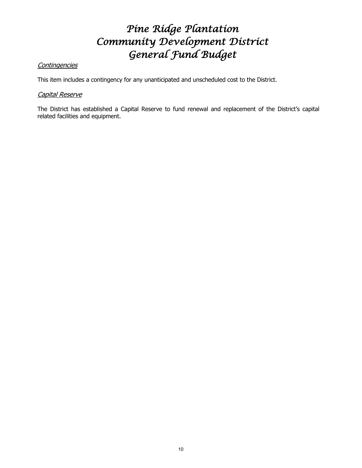### **Contingencies**

This item includes a contingency for any unanticipated and unscheduled cost to the District.

#### Capital Reserve

The District has established a Capital Reserve to fund renewal and replacement of the District's capital related facilities and equipment.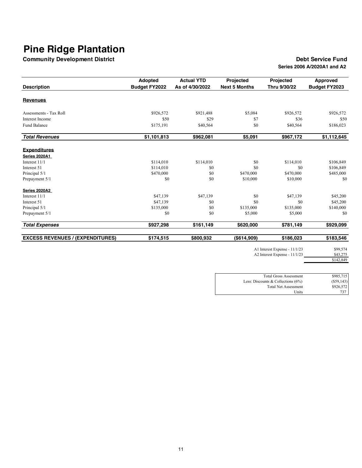**Community Development District Debt Service Fund** 

# **Series 2006 A/2020A1 and A2**

|                                         | Adopted              | <b>Actual YTD</b> | Projected            | Projected    | <b>Approved</b>      |  |
|-----------------------------------------|----------------------|-------------------|----------------------|--------------|----------------------|--|
| <b>Description</b>                      | <b>Budget FY2022</b> | As of 4/30/2022   | <b>Next 5 Months</b> | Thru 9/30/22 | <b>Budget FY2023</b> |  |
| <b>Revenues</b>                         |                      |                   |                      |              |                      |  |
| Assessments - Tax Roll                  | \$926,572            | \$921,488         | \$5,084              | \$926,572    | \$926,572            |  |
| Interest Income                         | \$50                 | \$29              | \$7                  | \$36         | \$50                 |  |
| <b>Fund Balance</b>                     | \$175,191            | \$40,564          | \$0                  | \$40,564     | \$186,023            |  |
| <b>Total Revenues</b>                   | \$1,101,813          | \$962,081         | \$5,091              | \$967,172    | \$1,112,645          |  |
| <b>Expenditures</b>                     |                      |                   |                      |              |                      |  |
| Series 2020A1                           |                      |                   |                      |              |                      |  |
| Interest 11/1                           | \$114,010            | \$114,010         | \$0                  | \$114,010    | \$106,849            |  |
| Interest 51                             | \$114,010            | \$0               | \$0                  | \$0          | \$106,849            |  |
| Principal 5/1                           | \$470,000            | \$0               | \$470,000            | \$470,000    | \$485,000            |  |
| Prepayment 5/1                          | \$0                  | \$0               | \$10,000             | \$10,000     | \$0                  |  |
| <b>Series 2020A2</b>                    |                      |                   |                      |              |                      |  |
| Interest $11/1$                         | \$47,139             | \$47,139          | \$0                  | \$47,139     | \$45,200             |  |
| Interest 51                             | \$47,139             | \$0               | \$0                  | \$0          | \$45,200             |  |
| Principal 5/1                           | \$135,000            | \$0               | \$135,000            | \$135,000    | \$140,000            |  |
| Prepayment 5/1                          | \$0                  | \$0               | \$5,000              | \$5,000      | \$0                  |  |
| <b>Total Expenses</b>                   | \$927,298            | \$161,149         | \$620,000            | \$781,149    | \$929,099            |  |
| <b>EXCESS REVENUES / (EXPENDITURES)</b> | \$174,515            | \$800,932         | $($ \$614,909)       | \$186,023    | \$183,546            |  |

A1 Interest Expense - 11/1/23 \$99,574<br>A2 Interest Expense - 11/1/23 \$43,275

A2 Interest Expense -  $11/1/23$ 

| .49<br>$\mathcal{D}$ |
|----------------------|
|                      |
|                      |

| <b>Total Gross Assessment</b>         | \$985,715  |
|---------------------------------------|------------|
| Less: Discounts & Collections $(6\%)$ | (S59, 143) |
| <b>Total Net Assessment</b>           | \$926,572  |
| Units                                 | 737        |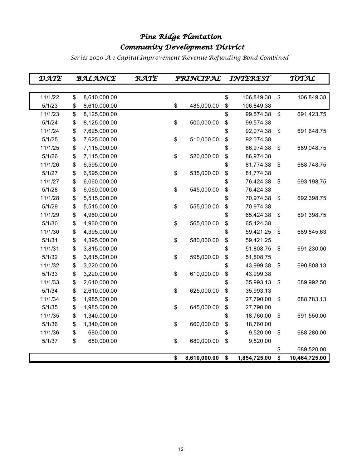### *Pine Ridge Plantation Community Development District*

*Series 2020 A-1 Capital Improvement Revenue Refunding Bond Combined*

| DATE    | <b>BALANCE</b>     | RATE | PRINCIPAL          |    | INTEREST     | TOTAL               |
|---------|--------------------|------|--------------------|----|--------------|---------------------|
|         |                    |      |                    |    |              |                     |
| 11/1/22 | \$<br>8,610,000.00 |      |                    | \$ | 106,849.38   | \$<br>106,849.38    |
| 5/1/23  | \$<br>8,610,000.00 |      | \$<br>485,000.00   | \$ | 106,849.38   |                     |
| 11/1/23 | \$<br>8,125,000.00 |      |                    | \$ | 99,574.38    | \$<br>691,423.75    |
| 5/1/24  | \$<br>8,125,000.00 |      | \$<br>500,000.00   | \$ | 99,574.38    |                     |
| 11/1/24 | \$<br>7,625,000.00 |      |                    | \$ | 92,074.38    | \$<br>691,648.75    |
| 5/1/25  | \$<br>7,625,000.00 |      | \$<br>510,000.00   | \$ | 92,074.38    |                     |
| 11/1/25 | \$<br>7,115,000.00 |      |                    | \$ | 86,974.38    | \$<br>689,048.75    |
| 5/1/26  | \$<br>7,115,000.00 |      | \$<br>520,000.00   | \$ | 86,974.38    |                     |
| 11/1/26 | \$<br>6,595,000.00 |      |                    | \$ | 81,774.38    | \$<br>688,748.75    |
| 5/1/27  | \$<br>6,595,000.00 |      | \$<br>535,000.00   | \$ | 81,774.38    |                     |
| 11/1/27 | \$<br>6,060,000.00 |      |                    | \$ | 76,424.38    | \$<br>693,198.75    |
| 5/1/28  | \$<br>6,060,000.00 |      | \$<br>545,000.00   | \$ | 76,424.38    |                     |
| 11/1/28 | \$<br>5,515,000.00 |      |                    | \$ | 70,974.38    | \$<br>692,398.75    |
| 5/1/29  | \$<br>5,515,000.00 |      | \$<br>555,000.00   | \$ | 70,974.38    |                     |
| 11/1/29 | \$<br>4,960,000.00 |      |                    | \$ | 65,424.38    | \$<br>691,398.75    |
| 5/1/30  | \$<br>4,960,000.00 |      | \$<br>565,000.00   | \$ | 65,424.38    |                     |
| 11/1/30 | \$<br>4,395,000.00 |      |                    | \$ | 59,421.25    | \$<br>689,845.63    |
| 5/1/31  | \$<br>4,395,000.00 |      | \$<br>580,000.00   | \$ | 59,421.25    |                     |
| 11/1/31 | \$<br>3,815,000.00 |      |                    | \$ | 51,808.75    | \$<br>691,230.00    |
| 5/1/32  | \$<br>3,815,000.00 |      | \$<br>595,000.00   | \$ | 51,808.75    |                     |
| 11/1/32 | \$<br>3,220,000.00 |      |                    | \$ | 43,999.38    | \$<br>690,808.13    |
| 5/1/33  | \$<br>3,220,000.00 |      | \$<br>610,000.00   | \$ | 43,999.38    |                     |
| 11/1/33 | \$<br>2,610,000.00 |      |                    | \$ | 35,993.13    | \$<br>689,992.50    |
| 5/1/34  | \$<br>2,610,000.00 |      | \$<br>625,000.00   | \$ | 35,993.13    |                     |
| 11/1/34 | \$<br>1,985,000.00 |      |                    | \$ | 27,790.00    | \$<br>688,783.13    |
| 5/1/35  | \$<br>1,985,000.00 |      | \$<br>645,000.00   | \$ | 27,790.00    |                     |
| 11/1/35 | \$<br>1,340,000.00 |      |                    | \$ | 18,760.00    | \$<br>691,550.00    |
| 5/1/36  | \$<br>1,340,000.00 |      | \$<br>660,000.00   | \$ | 18,760.00    |                     |
| 11/1/36 | \$<br>680,000.00   |      |                    | \$ | 9,520.00     | \$<br>688,280.00    |
| 5/1/37  | \$<br>680,000.00   |      | \$<br>680,000.00   | \$ | 9,520.00     |                     |
|         |                    |      |                    |    |              | \$<br>689,520.00    |
|         |                    |      | \$<br>8,610,000.00 | \$ | 1,854,725.00 | \$<br>10,464,725.00 |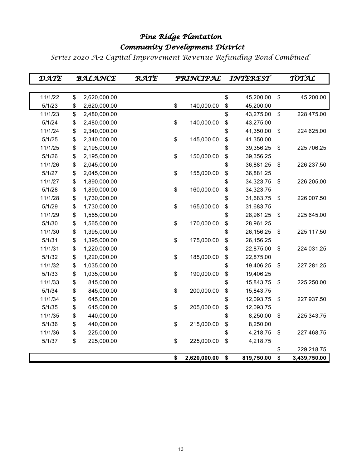### *Community Development District Pine Ridge Plantation*

*Series 2020 A-2 Capital Improvement Revenue Refunding Bond Combined*

| DATE    | <b>BALANCE</b>     | RATE | PRINCIPAL          | INTEREST         |                           | TOTAL        |
|---------|--------------------|------|--------------------|------------------|---------------------------|--------------|
|         |                    |      |                    |                  |                           |              |
| 11/1/22 | \$<br>2,620,000.00 |      |                    | \$<br>45,200.00  | \$                        | 45,200.00    |
| 5/1/23  | \$<br>2,620,000.00 |      | \$<br>140,000.00   | \$<br>45,200.00  |                           |              |
| 11/1/23 | \$<br>2,480,000.00 |      |                    | \$<br>43,275.00  | $\,$                      | 228,475.00   |
| 5/1/24  | \$<br>2,480,000.00 |      | \$<br>140,000.00   | \$<br>43,275.00  |                           |              |
| 11/1/24 | \$<br>2,340,000.00 |      |                    | \$<br>41,350.00  | \$                        | 224,625.00   |
| 5/1/25  | \$<br>2,340,000.00 |      | \$<br>145,000.00   | \$<br>41,350.00  |                           |              |
| 11/1/25 | \$<br>2,195,000.00 |      |                    | \$<br>39,356.25  | \$                        | 225,706.25   |
| 5/1/26  | \$<br>2,195,000.00 |      | \$<br>150,000.00   | \$<br>39,356.25  |                           |              |
| 11/1/26 | \$<br>2,045,000.00 |      |                    | \$<br>36,881.25  | \$                        | 226,237.50   |
| 5/1/27  | \$<br>2,045,000.00 |      | \$<br>155,000.00   | \$<br>36,881.25  |                           |              |
| 11/1/27 | \$<br>1,890,000.00 |      |                    | \$<br>34,323.75  | \$                        | 226,205.00   |
| 5/1/28  | \$<br>1,890,000.00 |      | \$<br>160,000.00   | \$<br>34,323.75  |                           |              |
| 11/1/28 | \$<br>1,730,000.00 |      |                    | \$<br>31,683.75  | \$                        | 226,007.50   |
| 5/1/29  | \$<br>1,730,000.00 |      | \$<br>165,000.00   | \$<br>31,683.75  |                           |              |
| 11/1/29 | \$<br>1,565,000.00 |      |                    | \$<br>28,961.25  | \$                        | 225,645.00   |
| 5/1/30  | \$<br>1,565,000.00 |      | \$<br>170,000.00   | \$<br>28,961.25  |                           |              |
| 11/1/30 | \$<br>1,395,000.00 |      |                    | \$<br>26,156.25  | $\boldsymbol{\mathsf{S}}$ | 225,117.50   |
| 5/1/31  | \$<br>1,395,000.00 |      | \$<br>175,000.00   | \$<br>26,156.25  |                           |              |
| 11/1/31 | \$<br>1,220,000.00 |      |                    | \$<br>22,875.00  | \$                        | 224,031.25   |
| 5/1/32  | \$<br>1,220,000.00 |      | \$<br>185,000.00   | \$<br>22,875.00  |                           |              |
| 11/1/32 | \$<br>1,035,000.00 |      |                    | \$<br>19,406.25  | \$                        | 227,281.25   |
| 5/1/33  | \$<br>1,035,000.00 |      | \$<br>190,000.00   | \$<br>19,406.25  |                           |              |
| 11/1/33 | \$<br>845,000.00   |      |                    | \$<br>15,843.75  | \$                        | 225,250.00   |
| 5/1/34  | \$<br>845,000.00   |      | \$<br>200,000.00   | \$<br>15,843.75  |                           |              |
| 11/1/34 | \$<br>645,000.00   |      |                    | \$<br>12,093.75  | \$                        | 227,937.50   |
| 5/1/35  | \$<br>645,000.00   |      | \$<br>205,000.00   | \$<br>12,093.75  |                           |              |
| 11/1/35 | \$<br>440,000.00   |      |                    | \$<br>8,250.00   | \$                        | 225,343.75   |
| 5/1/36  | \$<br>440,000.00   |      | \$<br>215,000.00   | \$<br>8,250.00   |                           |              |
| 11/1/36 | \$<br>225,000.00   |      |                    | \$<br>4,218.75   | \$                        | 227,468.75   |
| 5/1/37  | \$<br>225,000.00   |      | \$<br>225,000.00   | \$<br>4,218.75   |                           |              |
|         |                    |      |                    |                  | \$                        | 229,218.75   |
|         |                    |      | \$<br>2,620,000.00 | \$<br>819,750.00 | \$                        | 3,439,750.00 |